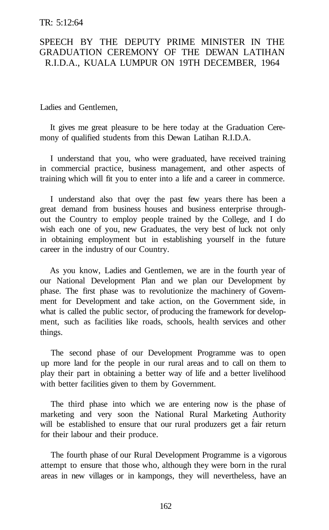## TR: 5:12:64

## SPEECH BY THE DEPUTY PRIME MINISTER IN THE GRADUATION CEREMONY OF THE DEWAN LATIHAN R.I.D.A., KUALA LUMPUR ON 19TH DECEMBER, 1964

Ladies and Gentlemen,

It gives me great pleasure to be here today at the Graduation Ceremony of qualified students from this Dewan Latihan R.I.D.A.

I understand that you, who were graduated, have received training in commercial practice, business management, and other aspects of training which will fit you to enter into a life and a career in commerce.

I understand also that over the past few years there has been a great demand from business houses and business enterprise throughout the Country to employ people trained by the College, and I do wish each one of you, new Graduates, the very best of luck not only in obtaining employment but in establishing yourself in the future career in the industry of our Country.

As you know, Ladies and Gentlemen, we are in the fourth year of our National Development Plan and we plan our Development by phase. The first phase was to revolutionize the machinery of Government for Development and take action, on the Government side, in what is called the public sector, of producing the framework for development, such as facilities like roads, schools, health services and other things.

The second phase of our Development Programme was to open up more land for the people in our rural areas and to call on them to play their part in obtaining a better way of life and a better livelihood with better facilities given to them by Government.

The third phase into which we are entering now is the phase of marketing and very soon the National Rural Marketing Authority will be established to ensure that our rural produzers get a fair return for their labour and their produce.

The fourth phase of our Rural Development Programme is a vigorous attempt to ensure that those who, although they were born in the rural areas in new villages or in kampongs, they will nevertheless, have an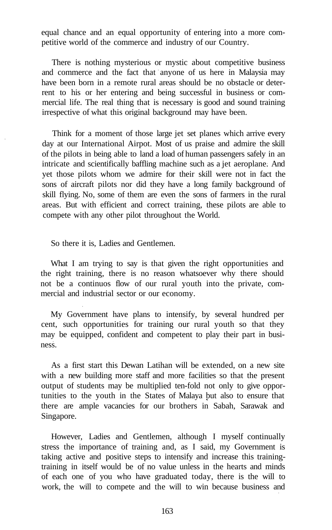equal chance and an equal opportunity of entering into a more competitive world of the commerce and industry of our Country.

There is nothing mysterious or mystic about competitive business and commerce and the fact that anyone of us here in Malaysia may have been born in a remote rural areas should be no obstacle or deterrent to his or her entering and being successful in business or commercial life. The real thing that is necessary is good and sound training irrespective of what this original background may have been.

Think for a moment of those large jet set planes which arrive every day at our International Airpot. Most of us praise and admire the skill of the pilots in being able to land a load of human passengers safely in an intricate and scientifically baffling machine such as a jet aeroplane. And yet those pilots whom we admire for their skill were not in fact the sons of aircraft pilots nor did they have a long family background of skill flying. No, some of them are even the sons of farmers in the rural areas. But with efficient and correct training, these pilots are able to compete with any other pilot throughout the World.

So there it is, Ladies and Gentlemen.

What I am trying to say is that given the right opportunities and the right training, there is no reason whatsoever why there should not be a continuos flow of our rural youth into the private, commercial and industrial sector or our economy.

My Government have plans to intensify, by several hundred per cent, such opportunities for training our rural youth so that they may be equipped, confident and competent to play their part in business.

As a first start this Dewan Latihan will be extended, on a new site with a new building more staff and more facilities so that the present output of students may be multiplied ten-fold not only to give opportunities to the youth in the States of Malaya but also to ensure that there are ample vacancies for our brothers in Sabah, Sarawak and Singapore.

However, Ladies and Gentlemen, although I myself continually stress the importance of training and, as I said, my Government is taking active and positive steps to intensify and increase this trainingtraining in itself would be of no value unless in the hearts and minds of each one of you who have graduated today, there is the will to work, the will to compete and the will to win because business and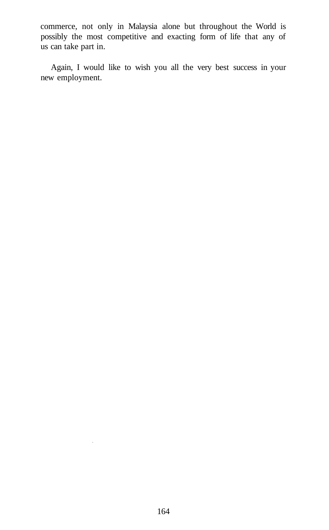commerce, not only in Malaysia alone but throughout the World is possibly the most competitive and exacting form of life that any of us can take part in.

Again, I would like to wish you all the very best success in your new employment.